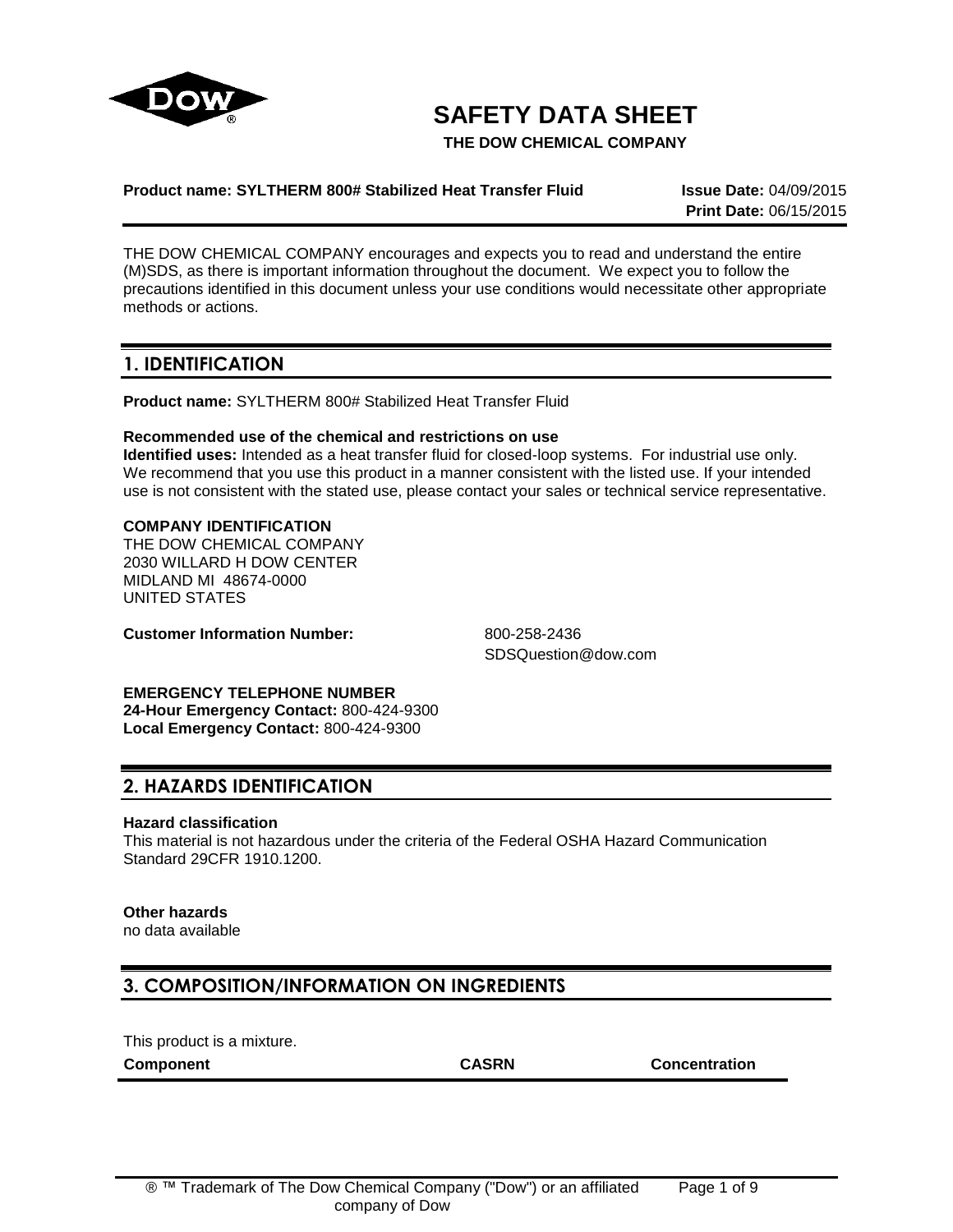

# **SAFETY DATA SHEET**

**THE DOW CHEMICAL COMPANY**

## **Product name: SYLTHERM 800# Stabilized Heat Transfer Fluid Issue Date:** 04/09/2015

**Print Date:** 06/15/2015

THE DOW CHEMICAL COMPANY encourages and expects you to read and understand the entire (M)SDS, as there is important information throughout the document. We expect you to follow the precautions identified in this document unless your use conditions would necessitate other appropriate methods or actions.

## **1. IDENTIFICATION**

**Product name:** SYLTHERM 800# Stabilized Heat Transfer Fluid

## **Recommended use of the chemical and restrictions on use**

**Identified uses:** Intended as a heat transfer fluid for closed-loop systems. For industrial use only. We recommend that you use this product in a manner consistent with the listed use. If your intended use is not consistent with the stated use, please contact your sales or technical service representative.

## **COMPANY IDENTIFICATION**

THE DOW CHEMICAL COMPANY 2030 WILLARD H DOW CENTER MIDLAND MI 48674-0000 UNITED STATES

**Customer Information Number:** 800-258-2436

SDSQuestion@dow.com

**EMERGENCY TELEPHONE NUMBER 24-Hour Emergency Contact:** 800-424-9300 **Local Emergency Contact:** 800-424-9300

## **2. HAZARDS IDENTIFICATION**

## **Hazard classification**

This material is not hazardous under the criteria of the Federal OSHA Hazard Communication Standard 29CFR 1910.1200.

## **Other hazards**

no data available

## **3. COMPOSITION/INFORMATION ON INGREDIENTS**

This product is a mixture.

**Component CASRN Concentration**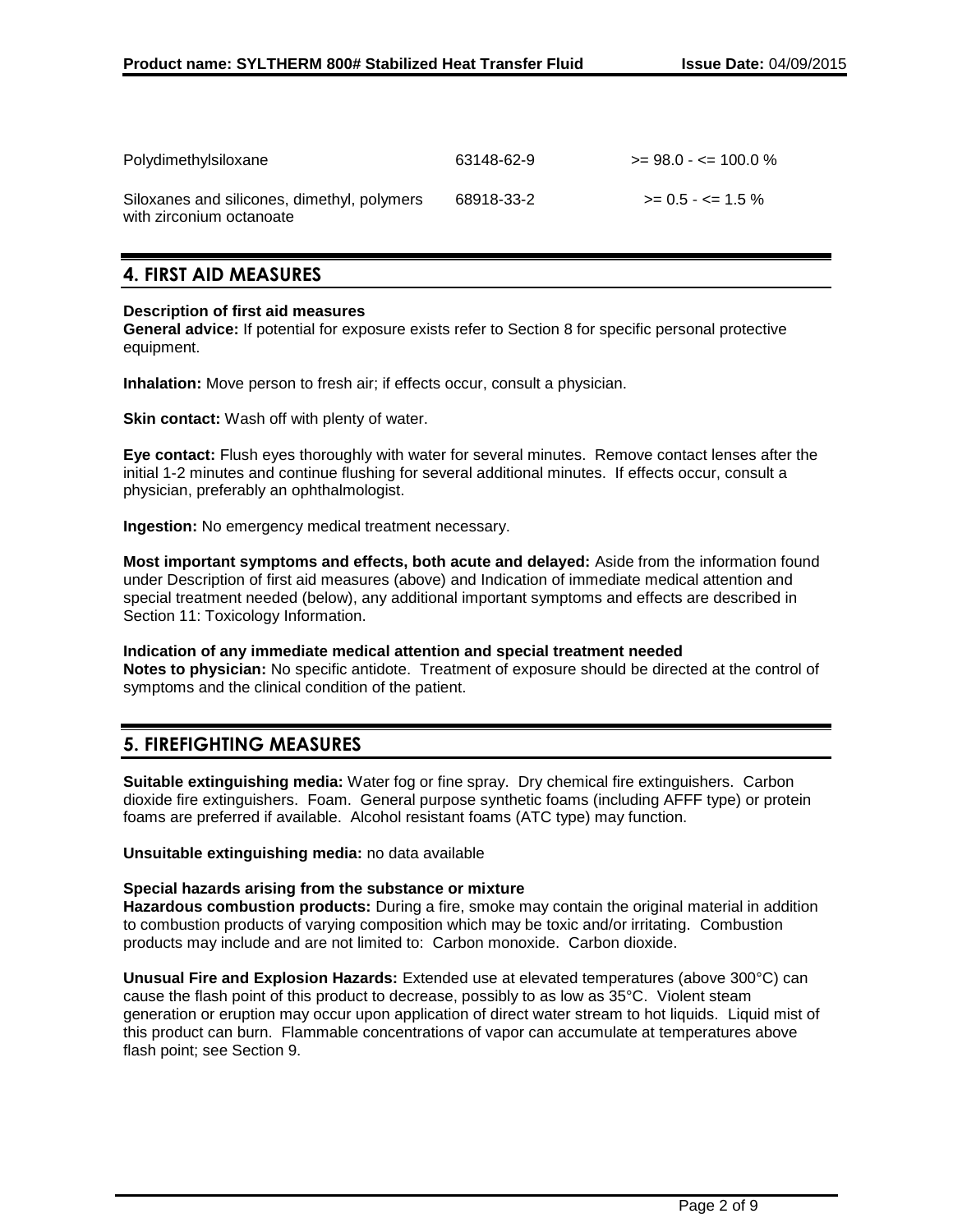| Polydimethylsiloxane                                                    | 63148-62-9 | $\ge$ 98.0 - $\le$ 100.0 %  |
|-------------------------------------------------------------------------|------------|-----------------------------|
| Siloxanes and silicones, dimethyl, polymers<br>with zirconium octanoate | 68918-33-2 | $\ge$ = 0.5 - $\le$ = 1.5 % |

## **4. FIRST AID MEASURES**

## **Description of first aid measures**

**General advice:** If potential for exposure exists refer to Section 8 for specific personal protective equipment.

**Inhalation:** Move person to fresh air; if effects occur, consult a physician.

**Skin contact:** Wash off with plenty of water.

**Eye contact:** Flush eyes thoroughly with water for several minutes. Remove contact lenses after the initial 1-2 minutes and continue flushing for several additional minutes. If effects occur, consult a physician, preferably an ophthalmologist.

**Ingestion:** No emergency medical treatment necessary.

**Most important symptoms and effects, both acute and delayed:** Aside from the information found under Description of first aid measures (above) and Indication of immediate medical attention and special treatment needed (below), any additional important symptoms and effects are described in Section 11: Toxicology Information.

**Indication of any immediate medical attention and special treatment needed Notes to physician:** No specific antidote. Treatment of exposure should be directed at the control of symptoms and the clinical condition of the patient.

## **5. FIREFIGHTING MEASURES**

**Suitable extinguishing media:** Water fog or fine spray. Dry chemical fire extinguishers. Carbon dioxide fire extinguishers. Foam. General purpose synthetic foams (including AFFF type) or protein foams are preferred if available. Alcohol resistant foams (ATC type) may function.

**Unsuitable extinguishing media:** no data available

## **Special hazards arising from the substance or mixture**

**Hazardous combustion products:** During a fire, smoke may contain the original material in addition to combustion products of varying composition which may be toxic and/or irritating. Combustion products may include and are not limited to: Carbon monoxide. Carbon dioxide.

**Unusual Fire and Explosion Hazards:** Extended use at elevated temperatures (above 300°C) can cause the flash point of this product to decrease, possibly to as low as 35°C. Violent steam generation or eruption may occur upon application of direct water stream to hot liquids. Liquid mist of this product can burn. Flammable concentrations of vapor can accumulate at temperatures above flash point; see Section 9.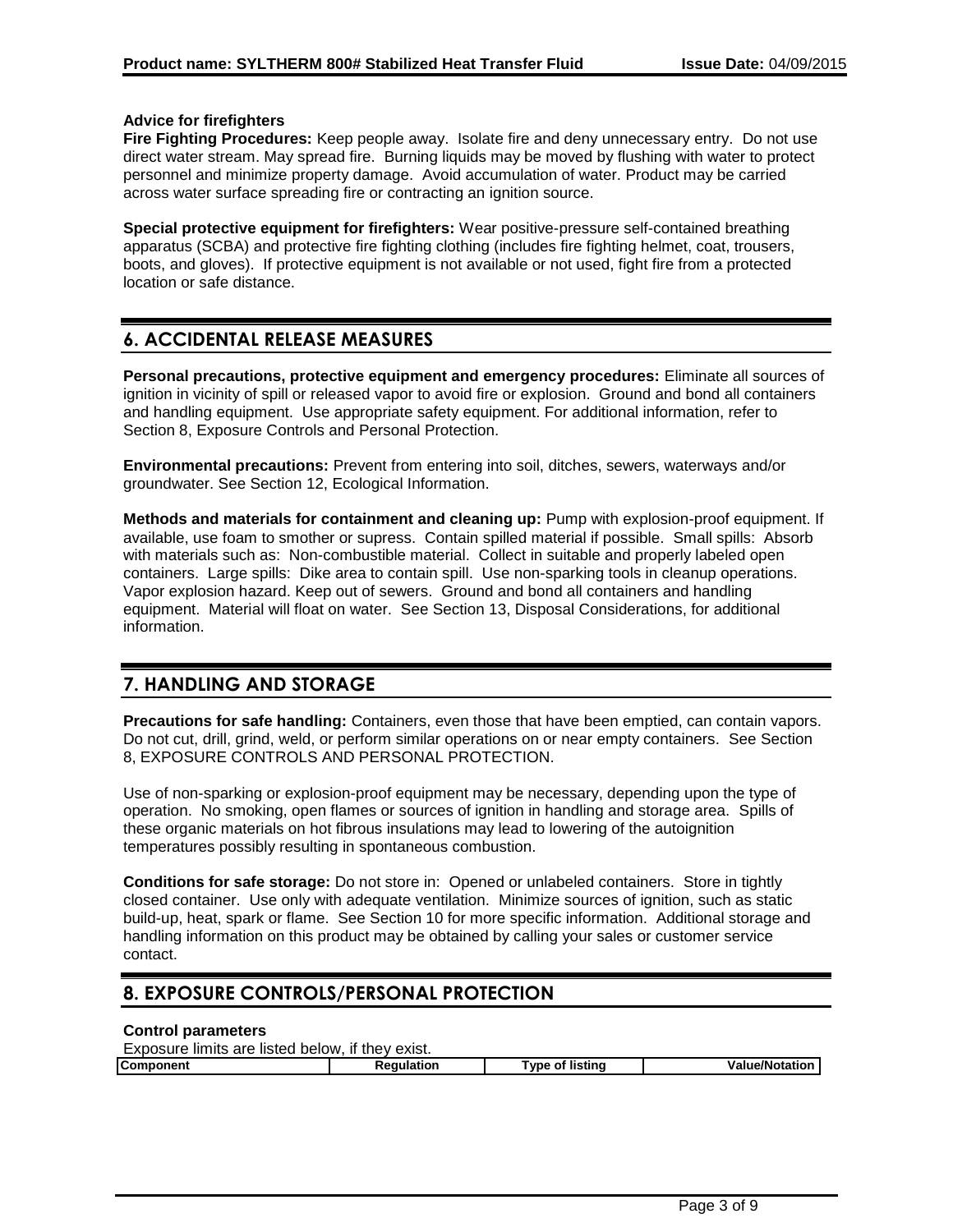## **Advice for firefighters**

**Fire Fighting Procedures:** Keep people away. Isolate fire and deny unnecessary entry. Do not use direct water stream. May spread fire. Burning liquids may be moved by flushing with water to protect personnel and minimize property damage. Avoid accumulation of water. Product may be carried across water surface spreading fire or contracting an ignition source.

**Special protective equipment for firefighters:** Wear positive-pressure self-contained breathing apparatus (SCBA) and protective fire fighting clothing (includes fire fighting helmet, coat, trousers, boots, and gloves). If protective equipment is not available or not used, fight fire from a protected location or safe distance.

## **6. ACCIDENTAL RELEASE MEASURES**

**Personal precautions, protective equipment and emergency procedures:** Eliminate all sources of ignition in vicinity of spill or released vapor to avoid fire or explosion. Ground and bond all containers and handling equipment. Use appropriate safety equipment. For additional information, refer to Section 8, Exposure Controls and Personal Protection.

**Environmental precautions:** Prevent from entering into soil, ditches, sewers, waterways and/or groundwater. See Section 12, Ecological Information.

**Methods and materials for containment and cleaning up:** Pump with explosion-proof equipment. If available, use foam to smother or supress. Contain spilled material if possible. Small spills: Absorb with materials such as: Non-combustible material. Collect in suitable and properly labeled open containers. Large spills: Dike area to contain spill. Use non-sparking tools in cleanup operations. Vapor explosion hazard. Keep out of sewers. Ground and bond all containers and handling equipment. Material will float on water. See Section 13, Disposal Considerations, for additional information.

## **7. HANDLING AND STORAGE**

**Precautions for safe handling:** Containers, even those that have been emptied, can contain vapors. Do not cut, drill, grind, weld, or perform similar operations on or near empty containers. See Section 8, EXPOSURE CONTROLS AND PERSONAL PROTECTION.

Use of non-sparking or explosion-proof equipment may be necessary, depending upon the type of operation. No smoking, open flames or sources of ignition in handling and storage area. Spills of these organic materials on hot fibrous insulations may lead to lowering of the autoignition temperatures possibly resulting in spontaneous combustion.

**Conditions for safe storage:** Do not store in: Opened or unlabeled containers. Store in tightly closed container. Use only with adequate ventilation. Minimize sources of ignition, such as static build-up, heat, spark or flame. See Section 10 for more specific information. Additional storage and handling information on this product may be obtained by calling your sales or customer service contact.

## **8. EXPOSURE CONTROLS/PERSONAL PROTECTION**

## **Control parameters**

| Exposure limits are listed below, if they exist. |            |                 |                       |
|--------------------------------------------------|------------|-----------------|-----------------------|
| <b>Component</b>                                 | Reaulation | Type of listing | <b>Value/Notation</b> |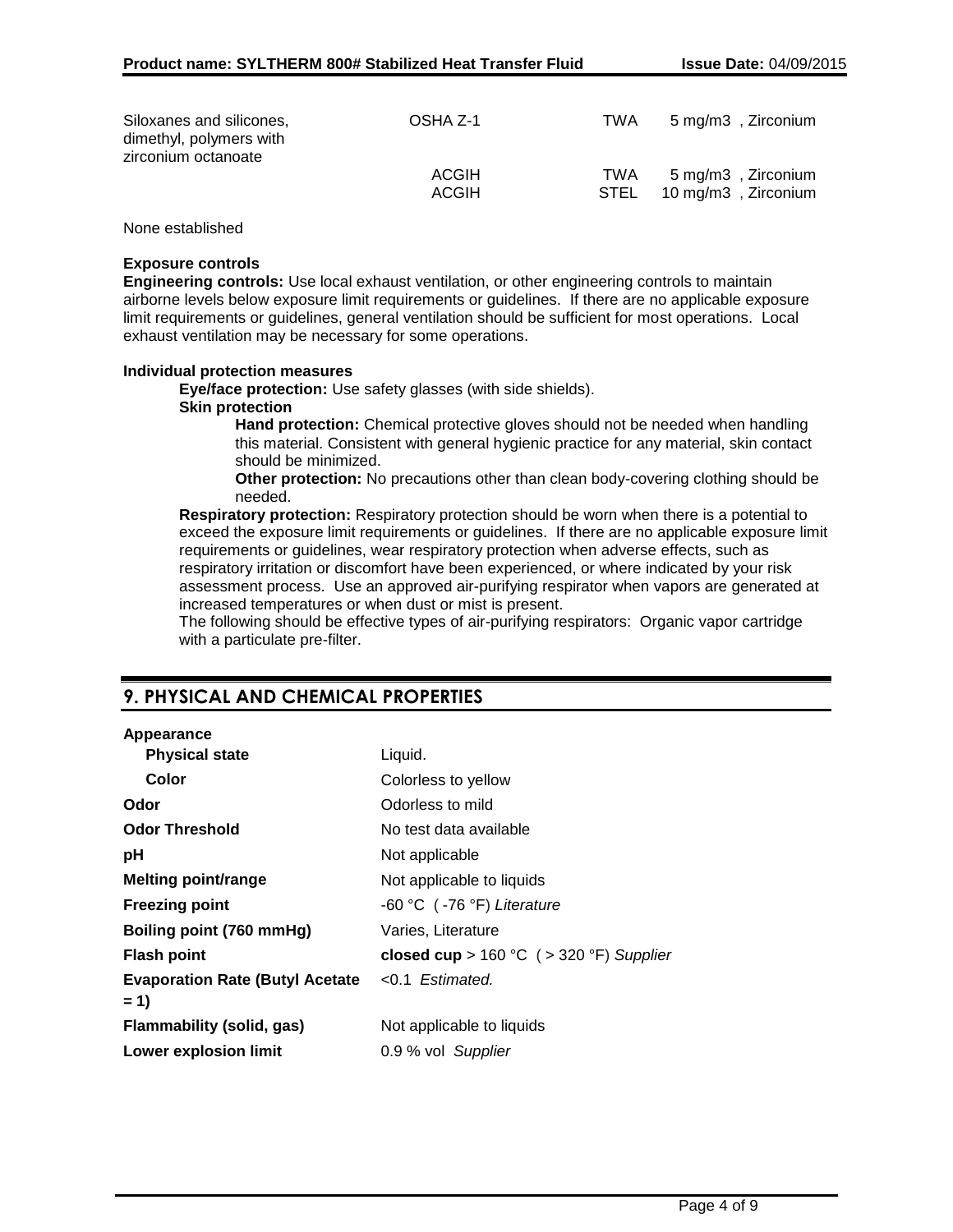| Siloxanes and silicones,<br>dimethyl, polymers with<br>zirconium octanoate | OSHA Z-1     | TWA  | 5 mg/m3, Zirconium  |
|----------------------------------------------------------------------------|--------------|------|---------------------|
|                                                                            | <b>ACGIH</b> | TWA  | 5 mg/m3, Zirconium  |
|                                                                            | <b>ACGIH</b> | STEL | 10 mg/m3, Zirconium |

None established

## **Exposure controls**

**Engineering controls:** Use local exhaust ventilation, or other engineering controls to maintain airborne levels below exposure limit requirements or guidelines. If there are no applicable exposure limit requirements or guidelines, general ventilation should be sufficient for most operations. Local exhaust ventilation may be necessary for some operations.

#### **Individual protection measures**

**Eye/face protection:** Use safety glasses (with side shields).

#### **Skin protection**

**Hand protection:** Chemical protective gloves should not be needed when handling this material. Consistent with general hygienic practice for any material, skin contact should be minimized.

**Other protection:** No precautions other than clean body-covering clothing should be needed.

**Respiratory protection:** Respiratory protection should be worn when there is a potential to exceed the exposure limit requirements or guidelines. If there are no applicable exposure limit requirements or guidelines, wear respiratory protection when adverse effects, such as respiratory irritation or discomfort have been experienced, or where indicated by your risk assessment process. Use an approved air-purifying respirator when vapors are generated at increased temperatures or when dust or mist is present.

The following should be effective types of air-purifying respirators: Organic vapor cartridge with a particulate pre-filter.

## **9. PHYSICAL AND CHEMICAL PROPERTIES**

#### **Appearance**

| <b>Physical state</b>                                    | Liquid.                                       |
|----------------------------------------------------------|-----------------------------------------------|
| Color                                                    | Colorless to yellow                           |
| Odor                                                     | Odorless to mild                              |
| <b>Odor Threshold</b>                                    | No test data available                        |
| рH                                                       | Not applicable                                |
| <b>Melting point/range</b>                               | Not applicable to liquids                     |
| <b>Freezing point</b>                                    | -60 °C (-76 °F) Literature                    |
| Boiling point (760 mmHg)                                 | Varies, Literature                            |
| <b>Flash point</b>                                       | closed cup > $160 °C$ ( > $320 °F$ ) Supplier |
| Evaporation Rate (Butyl Acetate <0.1 Estimated.<br>$= 1$ |                                               |
| Flammability (solid, gas)                                | Not applicable to liquids                     |
| <b>Lower explosion limit</b>                             | 0.9 % vol Supplier                            |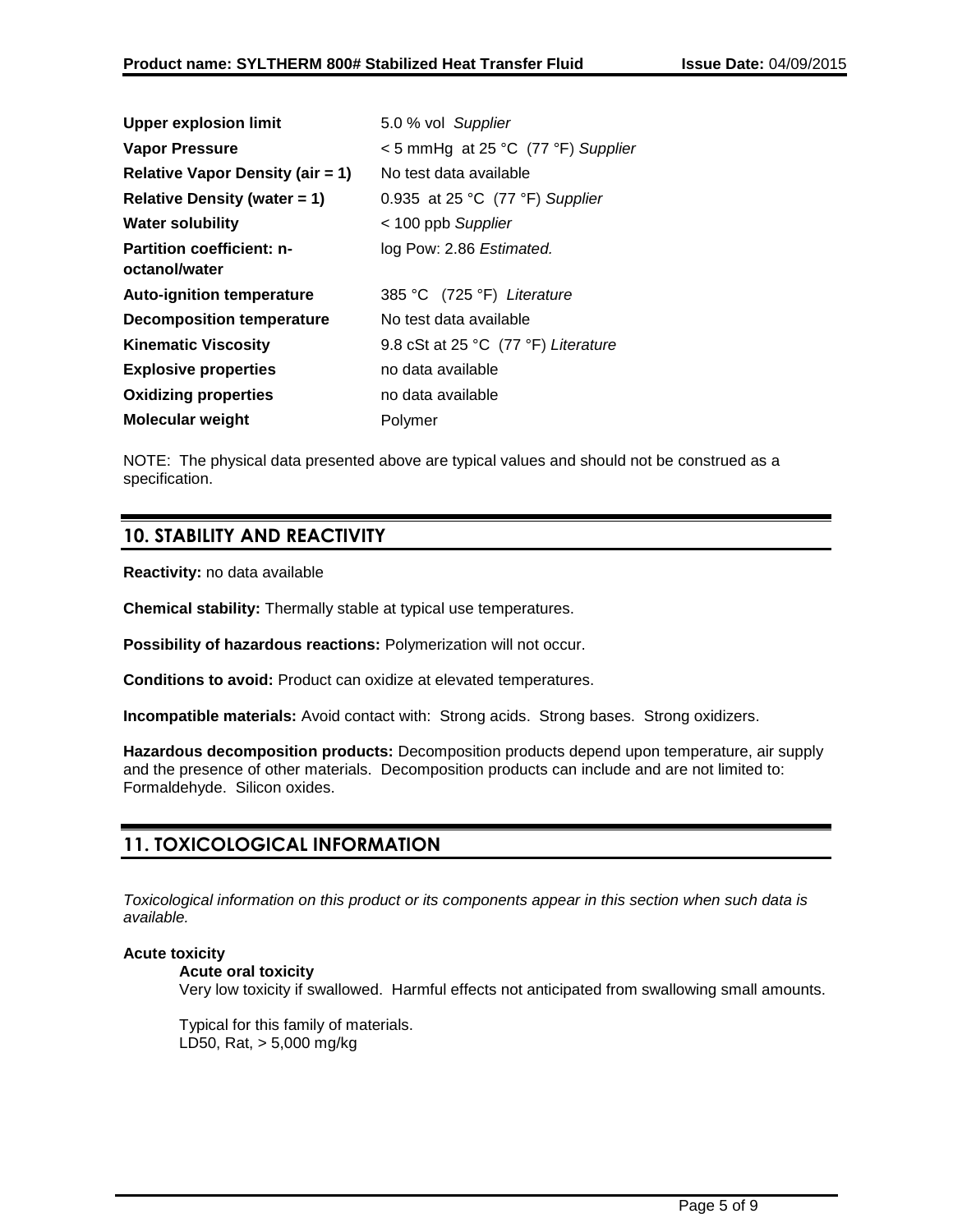| <b>Upper explosion limit</b>            | 5.0 % vol Supplier                  |
|-----------------------------------------|-------------------------------------|
| Vapor Pressure                          | < 5 mmHg at 25 °C (77 °F) Supplier  |
| <b>Relative Vapor Density (air = 1)</b> | No test data available              |
| Relative Density (water $= 1$ )         | 0.935 at 25 °C (77 °F) Supplier     |
| <b>Water solubility</b>                 | < 100 ppb Supplier                  |
| <b>Partition coefficient: n-</b>        | log Pow: 2.86 Estimated.            |
| octanol/water                           |                                     |
| <b>Auto-ignition temperature</b>        | 385 °C (725 °F) Literature          |
| <b>Decomposition temperature</b>        | No test data available              |
| <b>Kinematic Viscosity</b>              | 9.8 cSt at 25 °C (77 °F) Literature |
| <b>Explosive properties</b>             | no data available                   |
| <b>Oxidizing properties</b>             | no data available                   |
| Molecular weight                        | Polymer                             |

NOTE: The physical data presented above are typical values and should not be construed as a specification.

## **10. STABILITY AND REACTIVITY**

**Reactivity:** no data available

**Chemical stability:** Thermally stable at typical use temperatures.

**Possibility of hazardous reactions:** Polymerization will not occur.

**Conditions to avoid:** Product can oxidize at elevated temperatures.

**Incompatible materials:** Avoid contact with: Strong acids. Strong bases. Strong oxidizers.

**Hazardous decomposition products:** Decomposition products depend upon temperature, air supply and the presence of other materials. Decomposition products can include and are not limited to: Formaldehyde. Silicon oxides.

## **11. TOXICOLOGICAL INFORMATION**

*Toxicological information on this product or its components appear in this section when such data is available.*

## **Acute toxicity**

## **Acute oral toxicity**

Very low toxicity if swallowed. Harmful effects not anticipated from swallowing small amounts.

Typical for this family of materials. LD50, Rat, > 5,000 mg/kg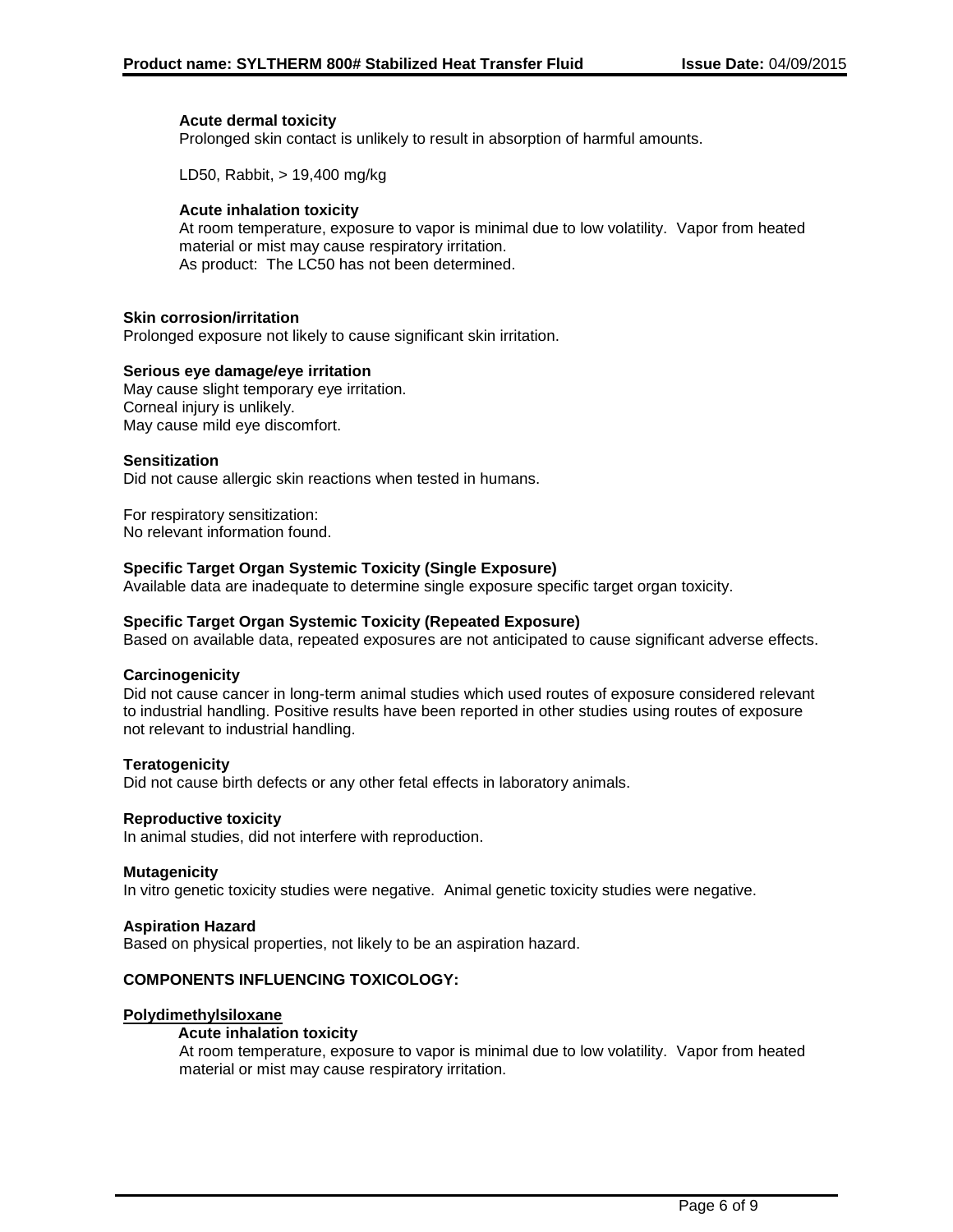## **Acute dermal toxicity**

Prolonged skin contact is unlikely to result in absorption of harmful amounts.

LD50, Rabbit, > 19,400 mg/kg

## **Acute inhalation toxicity**

At room temperature, exposure to vapor is minimal due to low volatility. Vapor from heated material or mist may cause respiratory irritation. As product: The LC50 has not been determined.

## **Skin corrosion/irritation**

Prolonged exposure not likely to cause significant skin irritation.

#### **Serious eye damage/eye irritation**

May cause slight temporary eye irritation. Corneal injury is unlikely. May cause mild eye discomfort.

#### **Sensitization**

Did not cause allergic skin reactions when tested in humans.

For respiratory sensitization: No relevant information found.

#### **Specific Target Organ Systemic Toxicity (Single Exposure)**

Available data are inadequate to determine single exposure specific target organ toxicity.

### **Specific Target Organ Systemic Toxicity (Repeated Exposure)**

Based on available data, repeated exposures are not anticipated to cause significant adverse effects.

#### **Carcinogenicity**

Did not cause cancer in long-term animal studies which used routes of exposure considered relevant to industrial handling. Positive results have been reported in other studies using routes of exposure not relevant to industrial handling.

#### **Teratogenicity**

Did not cause birth defects or any other fetal effects in laboratory animals.

#### **Reproductive toxicity**

In animal studies, did not interfere with reproduction.

#### **Mutagenicity**

In vitro genetic toxicity studies were negative. Animal genetic toxicity studies were negative.

#### **Aspiration Hazard**

Based on physical properties, not likely to be an aspiration hazard.

## **COMPONENTS INFLUENCING TOXICOLOGY:**

#### **Polydimethylsiloxane**

#### **Acute inhalation toxicity**

At room temperature, exposure to vapor is minimal due to low volatility. Vapor from heated material or mist may cause respiratory irritation.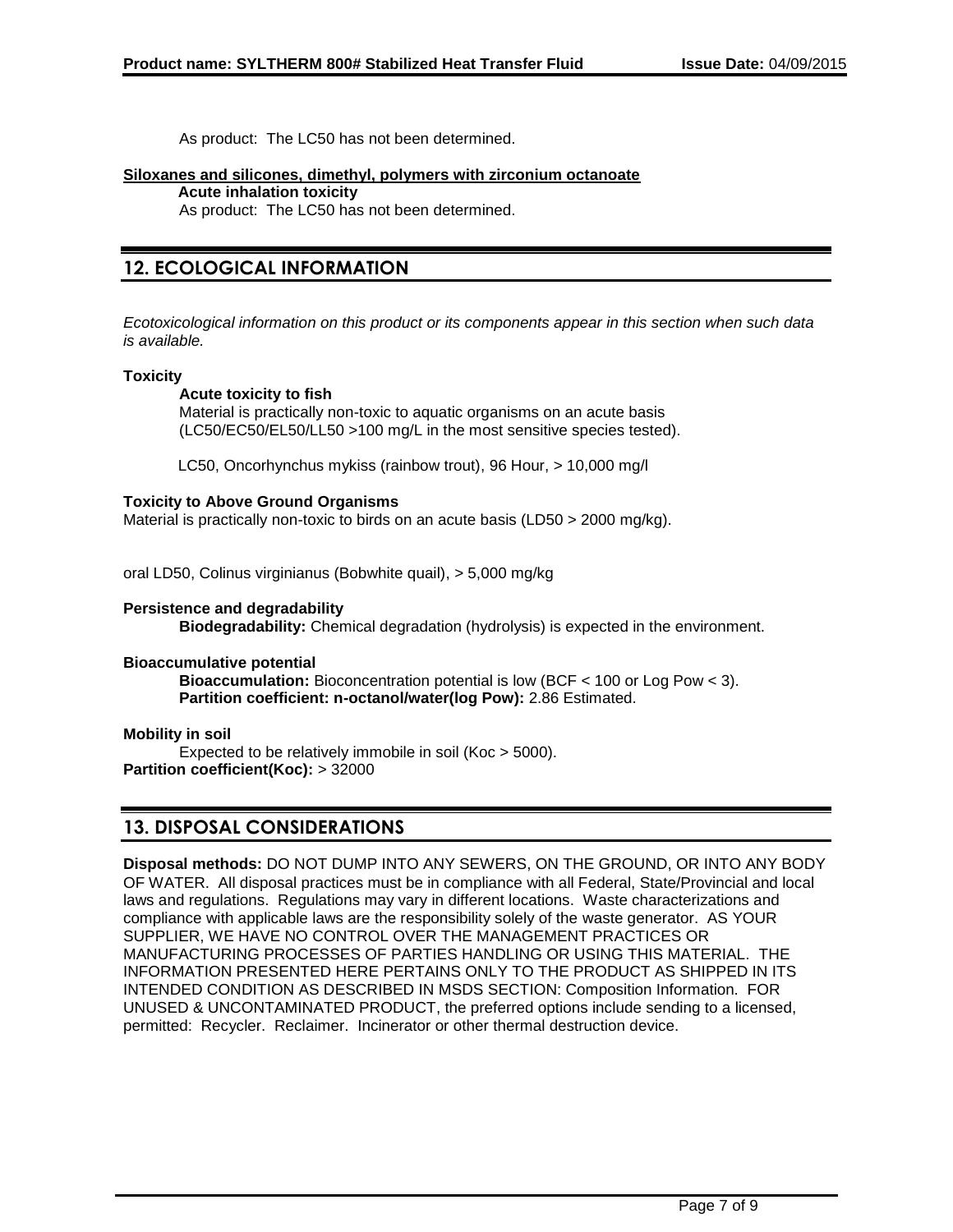As product: The LC50 has not been determined.

### **Siloxanes and silicones, dimethyl, polymers with zirconium octanoate**

**Acute inhalation toxicity**

As product: The LC50 has not been determined.

## **12. ECOLOGICAL INFORMATION**

*Ecotoxicological information on this product or its components appear in this section when such data is available.*

## **Toxicity**

## **Acute toxicity to fish**

Material is practically non-toxic to aquatic organisms on an acute basis (LC50/EC50/EL50/LL50 >100 mg/L in the most sensitive species tested).

LC50, Oncorhynchus mykiss (rainbow trout), 96 Hour, > 10,000 mg/l

## **Toxicity to Above Ground Organisms**

Material is practically non-toxic to birds on an acute basis (LD50 > 2000 mg/kg).

oral LD50, Colinus virginianus (Bobwhite quail), > 5,000 mg/kg

## **Persistence and degradability**

**Biodegradability:** Chemical degradation (hydrolysis) is expected in the environment.

## **Bioaccumulative potential**

**Bioaccumulation:** Bioconcentration potential is low (BCF < 100 or Log Pow < 3). **Partition coefficient: n-octanol/water(log Pow):** 2.86 Estimated.

## **Mobility in soil**

Expected to be relatively immobile in soil (Koc > 5000). **Partition coefficient(Koc):** > 32000

## **13. DISPOSAL CONSIDERATIONS**

**Disposal methods:** DO NOT DUMP INTO ANY SEWERS, ON THE GROUND, OR INTO ANY BODY OF WATER. All disposal practices must be in compliance with all Federal, State/Provincial and local laws and regulations. Regulations may vary in different locations. Waste characterizations and compliance with applicable laws are the responsibility solely of the waste generator. AS YOUR SUPPLIER, WE HAVE NO CONTROL OVER THE MANAGEMENT PRACTICES OR MANUFACTURING PROCESSES OF PARTIES HANDLING OR USING THIS MATERIAL. THE INFORMATION PRESENTED HERE PERTAINS ONLY TO THE PRODUCT AS SHIPPED IN ITS INTENDED CONDITION AS DESCRIBED IN MSDS SECTION: Composition Information. FOR UNUSED & UNCONTAMINATED PRODUCT, the preferred options include sending to a licensed, permitted: Recycler. Reclaimer. Incinerator or other thermal destruction device.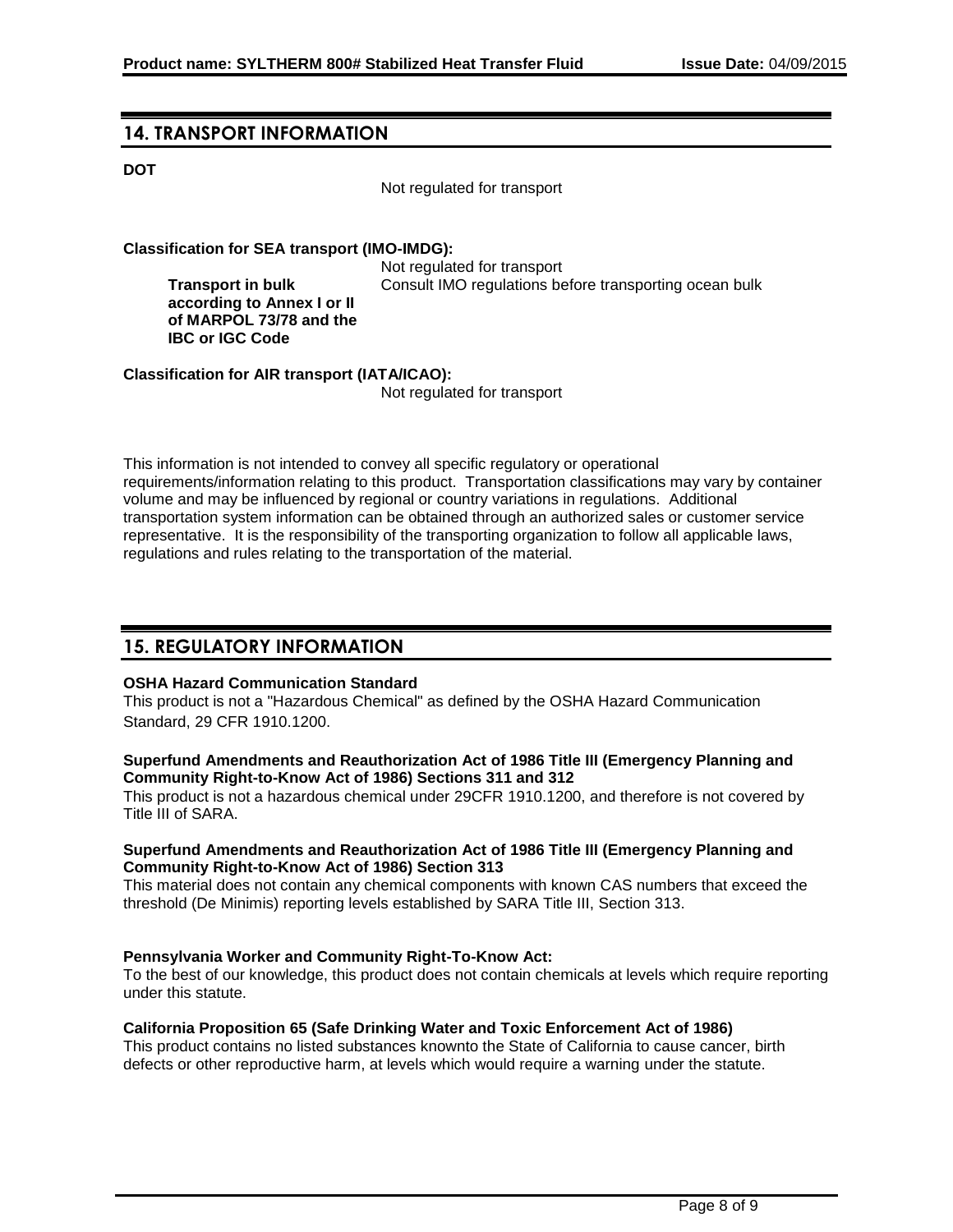## **14. TRANSPORT INFORMATION**

**Transport in bulk** 

**IBC or IGC Code**

## **DOT**

Not regulated for transport

## **Classification for SEA transport (IMO-IMDG):**

Not regulated for transport **according to Annex I or II of MARPOL 73/78 and the**  Consult IMO regulations before transporting ocean bulk

**Classification for AIR transport (IATA/ICAO):**

Not regulated for transport

This information is not intended to convey all specific regulatory or operational requirements/information relating to this product. Transportation classifications may vary by container volume and may be influenced by regional or country variations in regulations. Additional transportation system information can be obtained through an authorized sales or customer service representative. It is the responsibility of the transporting organization to follow all applicable laws, regulations and rules relating to the transportation of the material.

## **15. REGULATORY INFORMATION**

## **OSHA Hazard Communication Standard**

This product is not a "Hazardous Chemical" as defined by the OSHA Hazard Communication Standard, 29 CFR 1910.1200.

## **Superfund Amendments and Reauthorization Act of 1986 Title III (Emergency Planning and Community Right-to-Know Act of 1986) Sections 311 and 312**

This product is not a hazardous chemical under 29CFR 1910.1200, and therefore is not covered by Title III of SARA.

## **Superfund Amendments and Reauthorization Act of 1986 Title III (Emergency Planning and Community Right-to-Know Act of 1986) Section 313**

This material does not contain any chemical components with known CAS numbers that exceed the threshold (De Minimis) reporting levels established by SARA Title III, Section 313.

## **Pennsylvania Worker and Community Right-To-Know Act:**

To the best of our knowledge, this product does not contain chemicals at levels which require reporting under this statute.

## **California Proposition 65 (Safe Drinking Water and Toxic Enforcement Act of 1986)**

This product contains no listed substances knownto the State of California to cause cancer, birth defects or other reproductive harm, at levels which would require a warning under the statute.